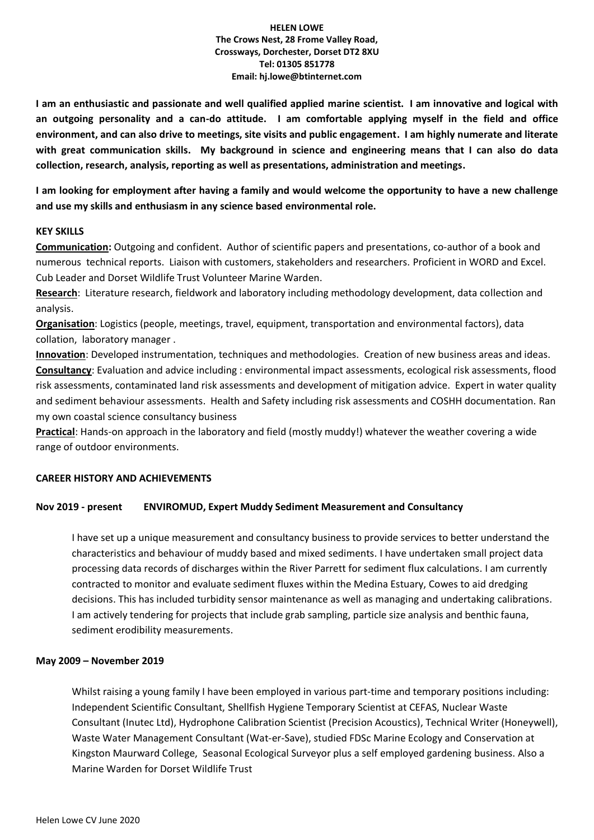**I am an enthusiastic and passionate and well qualified applied marine scientist. I am innovative and logical with an outgoing personality and a can-do attitude. I am comfortable applying myself in the field and office environment, and can also drive to meetings, site visits and public engagement. I am highly numerate and literate with great communication skills. My background in science and engineering means that I can also do data collection, research, analysis, reporting as well as presentations, administration and meetings.** 

**I am looking for employment after having a family and would welcome the opportunity to have a new challenge and use my skills and enthusiasm in any science based environmental role.**

#### **KEY SKILLS**

**Communication:** Outgoing and confident. Author of scientific papers and presentations, co-author of a book and numerous technical reports. Liaison with customers, stakeholders and researchers. Proficient in WORD and Excel. Cub Leader and Dorset Wildlife Trust Volunteer Marine Warden.

**Research**: Literature research, fieldwork and laboratory including methodology development, data collection and analysis.

**Organisation**: Logistics (people, meetings, travel, equipment, transportation and environmental factors), data collation, laboratory manager .

**Innovation**: Developed instrumentation, techniques and methodologies. Creation of new business areas and ideas. **Consultancy**: Evaluation and advice including : environmental impact assessments, ecological risk assessments, flood risk assessments, contaminated land risk assessments and development of mitigation advice. Expert in water quality and sediment behaviour assessments. Health and Safety including risk assessments and COSHH documentation. Ran my own coastal science consultancy business

**Practical**: Hands-on approach in the laboratory and field (mostly muddy!) whatever the weather covering a wide range of outdoor environments.

## **CAREER HISTORY AND ACHIEVEMENTS**

## **Nov 2019 - present ENVIROMUD, Expert Muddy Sediment Measurement and Consultancy**

I have set up a unique measurement and consultancy business to provide services to better understand the characteristics and behaviour of muddy based and mixed sediments. I have undertaken small project data processing data records of discharges within the River Parrett for sediment flux calculations. I am currently contracted to monitor and evaluate sediment fluxes within the Medina Estuary, Cowes to aid dredging decisions. This has included turbidity sensor maintenance as well as managing and undertaking calibrations. I am actively tendering for projects that include grab sampling, particle size analysis and benthic fauna, sediment erodibility measurements.

## **May 2009 – November 2019**

Whilst raising a young family I have been employed in various part-time and temporary positions including: Independent Scientific Consultant, Shellfish Hygiene Temporary Scientist at CEFAS, Nuclear Waste Consultant (Inutec Ltd), Hydrophone Calibration Scientist (Precision Acoustics), Technical Writer (Honeywell), Waste Water Management Consultant (Wat-er-Save), studied FDSc Marine Ecology and Conservation at Kingston Maurward College, Seasonal Ecological Surveyor plus a self employed gardening business. Also a Marine Warden for Dorset Wildlife Trust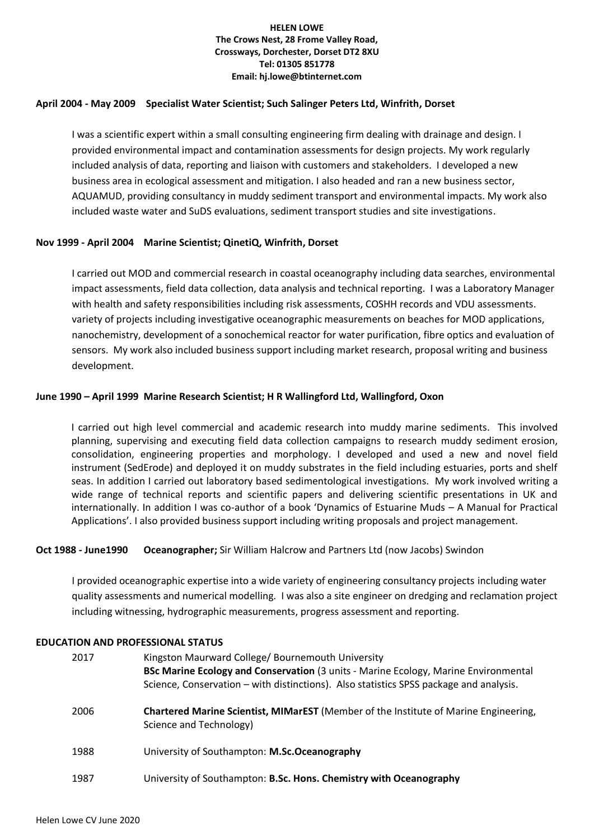## **April 2004 - May 2009 Specialist Water Scientist; Such Salinger Peters Ltd, Winfrith, Dorset**

I was a scientific expert within a small consulting engineering firm dealing with drainage and design. I provided environmental impact and contamination assessments for design projects. My work regularly included analysis of data, reporting and liaison with customers and stakeholders. I developed a new business area in ecological assessment and mitigation. I also headed and ran a new business sector, AQUAMUD, providing consultancy in muddy sediment transport and environmental impacts. My work also included waste water and SuDS evaluations, sediment transport studies and site investigations.

# **Nov 1999 - April 2004 Marine Scientist; QinetiQ, Winfrith, Dorset**

I carried out MOD and commercial research in coastal oceanography including data searches, environmental impact assessments, field data collection, data analysis and technical reporting. I was a Laboratory Manager with health and safety responsibilities including risk assessments, COSHH records and VDU assessments. variety of projects including investigative oceanographic measurements on beaches for MOD applications, nanochemistry, development of a sonochemical reactor for water purification, fibre optics and evaluation of sensors. My work also included business support including market research, proposal writing and business development.

# **June 1990 – April 1999 Marine Research Scientist; H R Wallingford Ltd, Wallingford, Oxon**

I carried out high level commercial and academic research into muddy marine sediments. This involved planning, supervising and executing field data collection campaigns to research muddy sediment erosion, consolidation, engineering properties and morphology. I developed and used a new and novel field instrument (SedErode) and deployed it on muddy substrates in the field including estuaries, ports and shelf seas. In addition I carried out laboratory based sedimentological investigations. My work involved writing a wide range of technical reports and scientific papers and delivering scientific presentations in UK and internationally. In addition I was co-author of a book 'Dynamics of Estuarine Muds – A Manual for Practical Applications'. I also provided business support including writing proposals and project management.

## **Oct 1988 - June1990 Oceanographer;** Sir William Halcrow and Partners Ltd (now Jacobs) Swindon

I provided oceanographic expertise into a wide variety of engineering consultancy projects including water quality assessments and numerical modelling. I was also a site engineer on dredging and reclamation project including witnessing, hydrographic measurements, progress assessment and reporting.

## **EDUCATION AND PROFESSIONAL STATUS**

| 2017 | Kingston Maurward College/ Bournemouth University<br><b>BSc Marine Ecology and Conservation</b> (3 units - Marine Ecology, Marine Environmental<br>Science, Conservation – with distinctions). Also statistics SPSS package and analysis. |
|------|-------------------------------------------------------------------------------------------------------------------------------------------------------------------------------------------------------------------------------------------|
| 2006 | Chartered Marine Scientist, MIMarEST (Member of the Institute of Marine Engineering,<br>Science and Technology)                                                                                                                           |
| 1988 | University of Southampton: M.Sc.Oceanography                                                                                                                                                                                              |
| 1987 | University of Southampton: B.Sc. Hons. Chemistry with Oceanography                                                                                                                                                                        |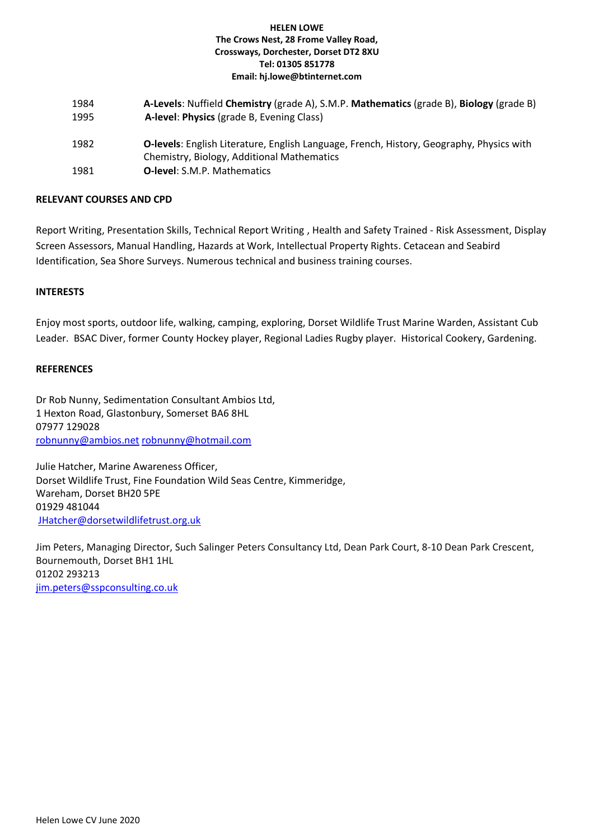| 1984<br>1995 | A-Levels: Nuffield Chemistry (grade A), S.M.P. Mathematics (grade B), Biology (grade B)<br>A-level: Physics (grade B, Evening Class)   |
|--------------|----------------------------------------------------------------------------------------------------------------------------------------|
| 1982         | O-levels: English Literature, English Language, French, History, Geography, Physics with<br>Chemistry, Biology, Additional Mathematics |
| 1981         | <b>O-level:</b> S.M.P. Mathematics                                                                                                     |

## **RELEVANT COURSES AND CPD**

Report Writing, Presentation Skills, Technical Report Writing , Health and Safety Trained - Risk Assessment, Display Screen Assessors, Manual Handling, Hazards at Work, Intellectual Property Rights. Cetacean and Seabird Identification, Sea Shore Surveys. Numerous technical and business training courses.

## **INTERESTS**

Enjoy most sports, outdoor life, walking, camping, exploring, Dorset Wildlife Trust Marine Warden, Assistant Cub Leader. BSAC Diver, former County Hockey player, Regional Ladies Rugby player. Historical Cookery, Gardening.

#### **REFERENCES**

Dr Rob Nunny, Sedimentation Consultant Ambios Ltd, 1 Hexton Road, Glastonbury, Somerset BA6 8HL 07977 129028 [robnunny@ambios.net](mailto:robnunny@ambios.net) [robnunny@hotmail.com](mailto:robnunny@hotmail.com)

Julie Hatcher, Marine Awareness Officer, Dorset Wildlife Trust, Fine Foundation Wild Seas Centre, Kimmeridge, Wareham, Dorset BH20 5PE 01929 481044 [JHatcher@dorsetwildlifetrust.org.uk](mailto:JHatcher@dorsetwildlifetrust.org.uk)

Jim Peters, Managing Director, Such Salinger Peters Consultancy Ltd, Dean Park Court, 8-10 Dean Park Crescent, Bournemouth, Dorset BH1 1HL 01202 293213 [jim.peters@sspconsulting.co.uk](mailto:jim.peters@sspconsulting.co.uk)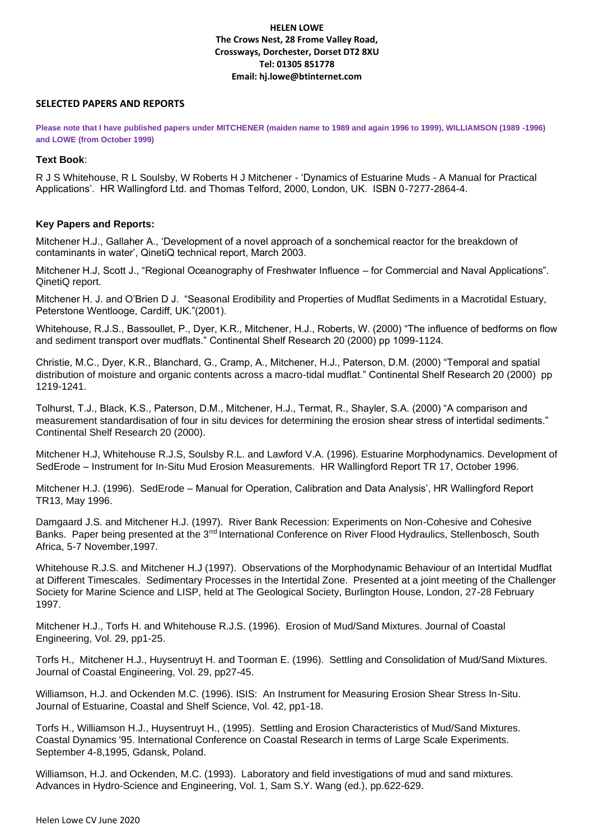#### **SELECTED PAPERS AND REPORTS**

**Please note that I have published papers under MITCHENER (maiden name to 1989 and again 1996 to 1999), WILLIAMSON (1989 -1996) and LOWE (from October 1999)**

### **Text Book**:

R J S Whitehouse, R L Soulsby, W Roberts H J Mitchener - 'Dynamics of Estuarine Muds - A Manual for Practical Applications'. HR Wallingford Ltd. and Thomas Telford, 2000, London, UK. ISBN 0-7277-2864-4.

#### **Key Papers and Reports:**

Mitchener H.J., Gallaher A., 'Development of a novel approach of a sonchemical reactor for the breakdown of contaminants in water', QinetiQ technical report, March 2003.

Mitchener H.J, Scott J., "Regional Oceanography of Freshwater Influence – for Commercial and Naval Applications". QinetiQ report.

Mitchener H. J. and O'Brien D J. "Seasonal Erodibility and Properties of Mudflat Sediments in a Macrotidal Estuary, Peterstone Wentlooge, Cardiff, UK."(2001).

Whitehouse, R.J.S., Bassoullet, P., Dyer, K.R., Mitchener, H.J., Roberts, W. (2000) "The influence of bedforms on flow and sediment transport over mudflats." Continental Shelf Research 20 (2000) pp 1099-1124.

Christie, M.C., Dyer, K.R., Blanchard, G., Cramp, A., Mitchener, H.J., Paterson, D.M. (2000) "Temporal and spatial distribution of moisture and organic contents across a macro-tidal mudflat." Continental Shelf Research 20 (2000) pp 1219-1241.

Tolhurst, T.J., Black, K.S., Paterson, D.M., Mitchener, H.J., Termat, R., Shayler, S.A. (2000) "A comparison and measurement standardisation of four in situ devices for determining the erosion shear stress of intertidal sediments." Continental Shelf Research 20 (2000).

Mitchener H.J, Whitehouse R.J.S, Soulsby R.L. and Lawford V.A. (1996). Estuarine Morphodynamics. Development of SedErode – Instrument for In-Situ Mud Erosion Measurements. HR Wallingford Report TR 17, October 1996.

Mitchener H.J. (1996). SedErode – Manual for Operation, Calibration and Data Analysis', HR Wallingford Report TR13, May 1996.

Damgaard J.S. and Mitchener H.J. (1997). River Bank Recession: Experiments on Non-Cohesive and Cohesive Banks. Paper being presented at the 3rrd International Conference on River Flood Hydraulics, Stellenbosch, South Africa, 5-7 November,1997.

Whitehouse R.J.S. and Mitchener H.J (1997). Observations of the Morphodynamic Behaviour of an Intertidal Mudflat at Different Timescales. Sedimentary Processes in the Intertidal Zone. Presented at a joint meeting of the Challenger Society for Marine Science and LISP, held at The Geological Society, Burlington House, London, 27-28 February 1997.

Mitchener H.J., Torfs H. and Whitehouse R.J.S. (1996). Erosion of Mud/Sand Mixtures. Journal of Coastal Engineering, Vol. 29, pp1-25.

Torfs H., Mitchener H.J., Huysentruyt H. and Toorman E. (1996). Settling and Consolidation of Mud/Sand Mixtures. Journal of Coastal Engineering, Vol. 29, pp27-45.

Williamson, H.J. and Ockenden M.C. (1996). ISIS: An Instrument for Measuring Erosion Shear Stress In-Situ. Journal of Estuarine, Coastal and Shelf Science, Vol. 42, pp1-18.

Torfs H., Williamson H.J., Huysentruyt H., (1995). Settling and Erosion Characteristics of Mud/Sand Mixtures. Coastal Dynamics '95. International Conference on Coastal Research in terms of Large Scale Experiments. September 4-8,1995, Gdansk, Poland.

Williamson, H.J. and Ockenden, M.C. (1993). Laboratory and field investigations of mud and sand mixtures. Advances in Hydro-Science and Engineering, Vol. 1, Sam S.Y. Wang (ed.), pp.622-629.